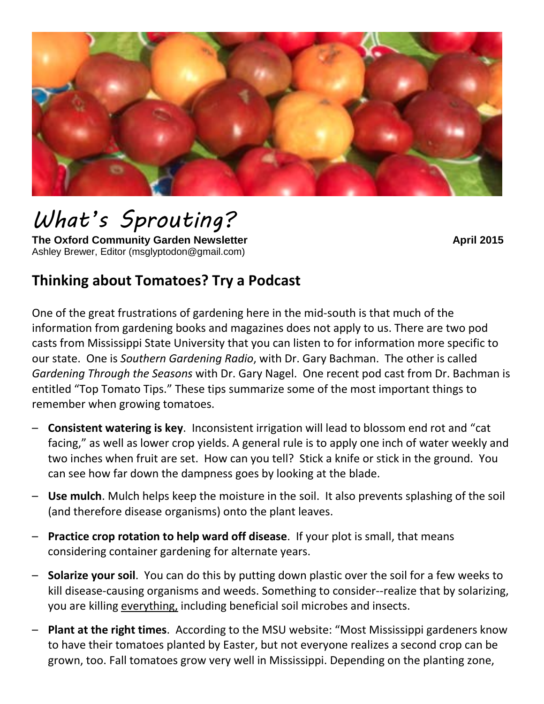

# *What's Sprouting?*

**The Oxford Community Garden Newsletter April 2015 April 2015** Ashley Brewer, Editor (msglyptodon@gmail.com)

# **Thinking about Tomatoes? Try a Podcast**

One of the great frustrations of gardening here in the mid-south is that much of the information from gardening books and magazines does not apply to us. There are two pod casts from Mississippi State University that you can listen to for information more specific to our state. One is *Southern Gardening Radio*, with Dr. Gary Bachman. The other is called *Gardening Through the Seasons* with Dr. Gary Nagel. One recent pod cast from Dr. Bachman is entitled "Top Tomato Tips." These tips summarize some of the most important things to remember when growing tomatoes.

- **Consistent watering is key**. Inconsistent irrigation will lead to blossom end rot and "cat facing," as well as lower crop yields. A general rule is to apply one inch of water weekly and two inches when fruit are set. How can you tell? Stick a knife or stick in the ground. You can see how far down the dampness goes by looking at the blade.
- **Use mulch**. Mulch helps keep the moisture in the soil. It also prevents splashing of the soil (and therefore disease organisms) onto the plant leaves.
- **Practice crop rotation to help ward off disease**. If your plot is small, that means considering container gardening for alternate years.
- **Solarize your soil**. You can do this by putting down plastic over the soil for a few weeks to kill disease-causing organisms and weeds. Something to consider--realize that by solarizing, you are killing everything, including beneficial soil microbes and insects.
- **Plant at the right times**. According to the MSU website: "Most Mississippi gardeners know to have their tomatoes planted by Easter, but not everyone realizes a second crop can be grown, too. Fall tomatoes grow very well in Mississippi. Depending on the planting zone,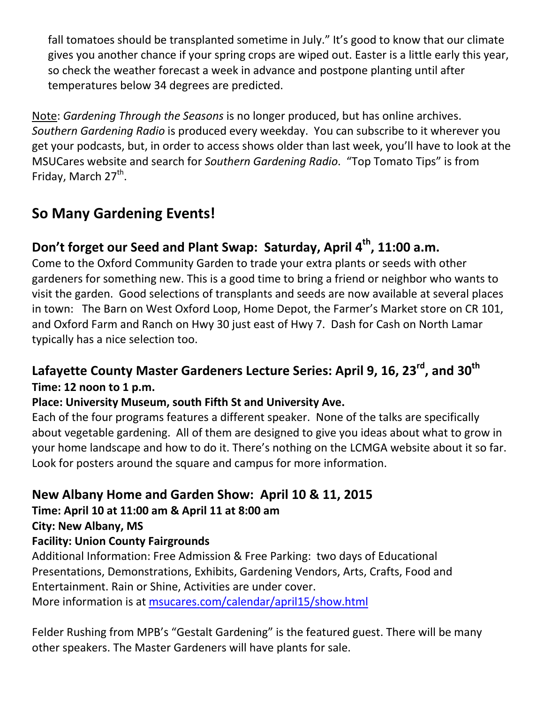fall tomatoes should be transplanted sometime in July." It's good to know that our climate gives you another chance if your spring crops are wiped out. Easter is a little early this year, so check the weather forecast a week in advance and postpone planting until after temperatures below 34 degrees are predicted.

Note: *Gardening Through the Seasons* is no longer produced, but has online archives. *Southern Gardening Radio* is produced every weekday. You can subscribe to it wherever you get your podcasts, but, in order to access shows older than last week, you'll have to look at the MSUCares website and search for *Southern Gardening Radio*. "Top Tomato Tips" is from Friday, March 27<sup>th</sup>.

# **So Many Gardening Events!**

## Don't forget our Seed and Plant Swap: Saturday, April 4<sup>th</sup>, 11:00 a.m.

Come to the Oxford Community Garden to trade your extra plants or seeds with other gardeners for something new. This is a good time to bring a friend or neighbor who wants to visit the garden. Good selections of transplants and seeds are now available at several places in town: The Barn on West Oxford Loop, Home Depot, the Farmer's Market store on CR 101, and Oxford Farm and Ranch on Hwy 30 just east of Hwy 7. Dash for Cash on North Lamar typically has a nice selection too.

## Lafayette County Master Gardeners Lecture Series: April 9, 16, 23<sup>rd</sup>, and 30<sup>th</sup> **Time: 12 noon to 1 p.m.**

#### **Place: University Museum, south Fifth St and University Ave.**

Each of the four programs features a different speaker. None of the talks are specifically about vegetable gardening. All of them are designed to give you ideas about what to grow in your home landscape and how to do it. There's nothing on the LCMGA website about it so far. Look for posters around the square and campus for more information.

## **New Albany Home and Garden Show: April 10 & 11, 2015**

#### **Time: April 10 at 11:00 am & April 11 at 8:00 am**

**City: New Albany, MS**

#### **Facility: Union County Fairgrounds**

Additional Information: Free Admission & Free Parking: two days of Educational Presentations, Demonstrations, Exhibits, Gardening Vendors, Arts, Crafts, Food and Entertainment. Rain or Shine, Activities are under cover. More information is at msucares.com/calendar/april15/show.html

Felder Rushing from MPB's "Gestalt Gardening" is the featured guest. There will be many other speakers. The Master Gardeners will have plants for sale.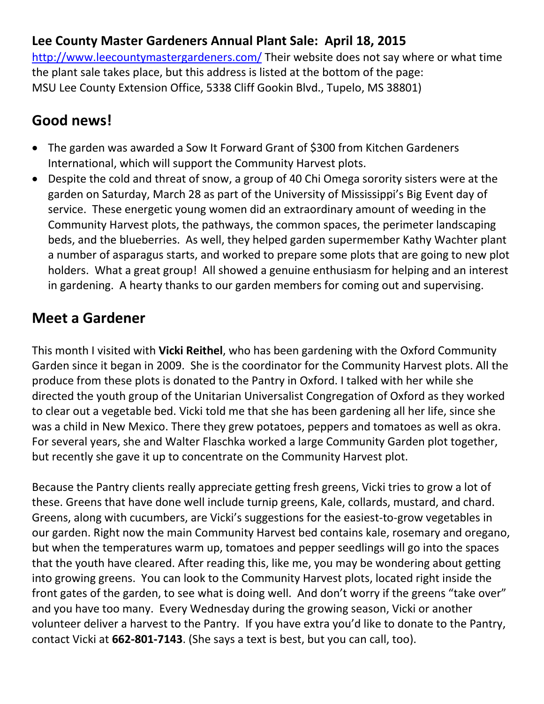### **Lee County Master Gardeners Annual Plant Sale: April 18, 2015**

<http://www.leecountymastergardeners.com/> Their website does not say where or what time the plant sale takes place, but this address is listed at the bottom of the page: MSU Lee County Extension Office, 5338 Cliff Gookin Blvd., Tupelo, MS 38801)

## **Good news!**

- The garden was awarded a Sow It Forward Grant of \$300 from Kitchen Gardeners International, which will support the Community Harvest plots.
- Despite the cold and threat of snow, a group of 40 Chi Omega sorority sisters were at the garden on Saturday, March 28 as part of the University of Mississippi's Big Event day of service. These energetic young women did an extraordinary amount of weeding in the Community Harvest plots, the pathways, the common spaces, the perimeter landscaping beds, and the blueberries. As well, they helped garden supermember Kathy Wachter plant a number of asparagus starts, and worked to prepare some plots that are going to new plot holders. What a great group! All showed a genuine enthusiasm for helping and an interest in gardening. A hearty thanks to our garden members for coming out and supervising.

## **Meet a Gardener**

This month I visited with **Vicki Reithel**, who has been gardening with the Oxford Community Garden since it began in 2009. She is the coordinator for the Community Harvest plots. All the produce from these plots is donated to the Pantry in Oxford. I talked with her while she directed the youth group of the Unitarian Universalist Congregation of Oxford as they worked to clear out a vegetable bed. Vicki told me that she has been gardening all her life, since she was a child in New Mexico. There they grew potatoes, peppers and tomatoes as well as okra. For several years, she and Walter Flaschka worked a large Community Garden plot together, but recently she gave it up to concentrate on the Community Harvest plot.

Because the Pantry clients really appreciate getting fresh greens, Vicki tries to grow a lot of these. Greens that have done well include turnip greens, Kale, collards, mustard, and chard. Greens, along with cucumbers, are Vicki's suggestions for the easiest-to-grow vegetables in our garden. Right now the main Community Harvest bed contains kale, rosemary and oregano, but when the temperatures warm up, tomatoes and pepper seedlings will go into the spaces that the youth have cleared. After reading this, like me, you may be wondering about getting into growing greens. You can look to the Community Harvest plots, located right inside the front gates of the garden, to see what is doing well. And don't worry if the greens "take over" and you have too many. Every Wednesday during the growing season, Vicki or another volunteer deliver a harvest to the Pantry. If you have extra you'd like to donate to the Pantry, contact Vicki at **662-801-7143**. (She says a text is best, but you can call, too).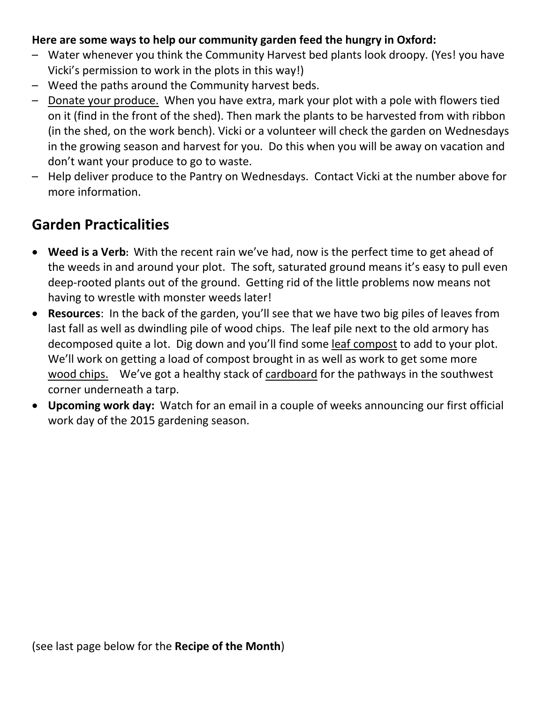#### **Here are some ways to help our community garden feed the hungry in Oxford:**

- Water whenever you think the Community Harvest bed plants look droopy. (Yes! you have Vicki's permission to work in the plots in this way!)
- Weed the paths around the Community harvest beds.
- Donate your produce. When you have extra, mark your plot with a pole with flowers tied on it (find in the front of the shed). Then mark the plants to be harvested from with ribbon (in the shed, on the work bench). Vicki or a volunteer will check the garden on Wednesdays in the growing season and harvest for you. Do this when you will be away on vacation and don't want your produce to go to waste.
- Help deliver produce to the Pantry on Wednesdays. Contact Vicki at the number above for more information.

## **Garden Practicalities**

- **Weed is a Verb:** With the recent rain we've had, now is the perfect time to get ahead of the weeds in and around your plot. The soft, saturated ground means it's easy to pull even deep-rooted plants out of the ground. Getting rid of the little problems now means not having to wrestle with monster weeds later!
- **Resources**: In the back of the garden, you'll see that we have two big piles of leaves from last fall as well as dwindling pile of wood chips. The leaf pile next to the old armory has decomposed quite a lot. Dig down and you'll find some leaf compost to add to your plot. We'll work on getting a load of compost brought in as well as work to get some more wood chips. We've got a healthy stack of cardboard for the pathways in the southwest corner underneath a tarp.
- **Upcoming work day:** Watch for an email in a couple of weeks announcing our first official work day of the 2015 gardening season.